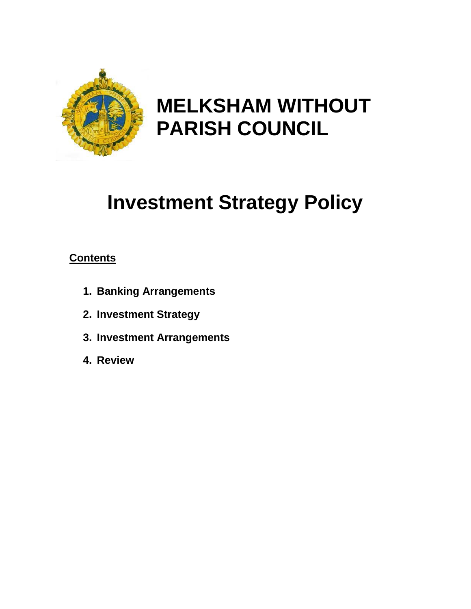

# **MELKSHAM WITHOUT PARISH COUNCIL**

# **Investment Strategy Policy**

## **Contents**

- **1. Banking Arrangements**
- **2. Investment Strategy**
- **3. Investment Arrangements**
- **4. Review**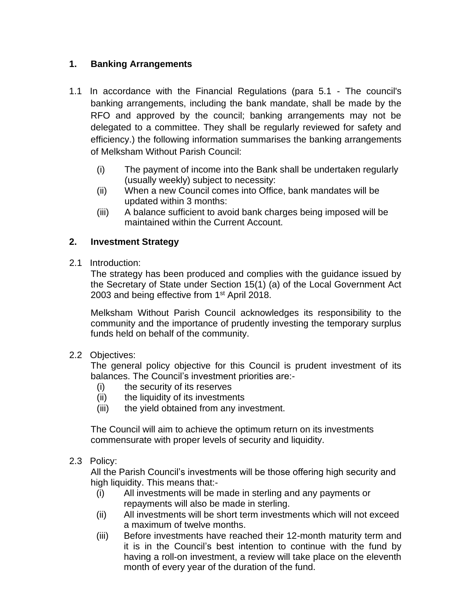### **1. Banking Arrangements**

- 1.1 In accordance with the Financial Regulations (para 5.1 The council's banking arrangements, including the bank mandate, shall be made by the RFO and approved by the council; banking arrangements may not be delegated to a committee. They shall be regularly reviewed for safety and efficiency.) the following information summarises the banking arrangements of Melksham Without Parish Council:
	- (i) The payment of income into the Bank shall be undertaken regularly (usually weekly) subject to necessity:
	- (ii) When a new Council comes into Office, bank mandates will be updated within 3 months:
	- (iii) A balance sufficient to avoid bank charges being imposed will be maintained within the Current Account.

#### **2. Investment Strategy**

2.1 Introduction:

The strategy has been produced and complies with the guidance issued by the Secretary of State under Section 15(1) (a) of the Local Government Act 2003 and being effective from 1<sup>st</sup> April 2018.

Melksham Without Parish Council acknowledges its responsibility to the community and the importance of prudently investing the temporary surplus funds held on behalf of the community.

2.2 Objectives:

The general policy objective for this Council is prudent investment of its balances. The Council's investment priorities are:-

- (i) the security of its reserves
- (ii) the liquidity of its investments
- (iii) the yield obtained from any investment.

The Council will aim to achieve the optimum return on its investments commensurate with proper levels of security and liquidity.

2.3 Policy:

All the Parish Council's investments will be those offering high security and high liquidity. This means that:-

- (i) All investments will be made in sterling and any payments or repayments will also be made in sterling.
- (ii) All investments will be short term investments which will not exceed a maximum of twelve months.
- (iii) Before investments have reached their 12-month maturity term and it is in the Council's best intention to continue with the fund by having a roll-on investment, a review will take place on the eleventh month of every year of the duration of the fund.